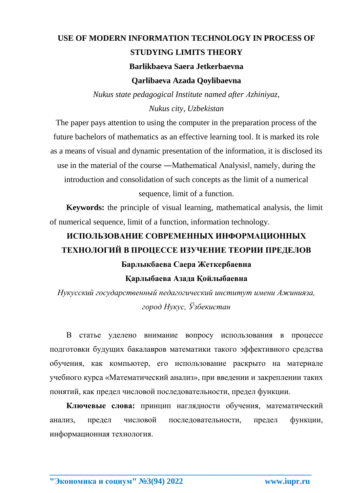## **USE OF MODERN INFORMATION TECHNOLOGY IN PROCESS OF STUDYING LIMITS THEORY Barlikbaeva Saera Jetkerbaevna Qarlibaeva Azada Qoylibaevna**

*Nukus state pedagogical Institute named after Аzhiniyaz,*

*Nukus city, Uzbekistan*

The paper pays attention to using the computer in the preparation process of the future bachelors of mathematics as an effective learning tool. It is marked its role as a means of visual and dynamic presentation of the information, it is disclosed its use in the material of the course ―Mathematical Analysis‖, namely, during the introduction and consolidation of such concepts as the limit of a numerical sequence, limit of a function.

**Keywords:** the principle of visual learning, mathematical analysis, the limit of numerical sequence, limit of a function, information technology.

## **ИСПОЛЬЗОВАНИЕ СОВРЕМЕННЫХ ИНФОРМАЦИОННЫХ ТЕХНОЛОГИЙ В ПРОЦЕССЕ ИЗУЧЕНИЕ ТЕОРИИ ПРЕДЕЛОВ Барлыкбаева Саера Жеткербаевна**

## **Қарлыбаева Азада Қойлыбаевна**

*Нукусский государственный педагогический институт имени Ажинияза, город Нукус, Ўзбекистан*

В статье уделено внимание вопросу использования в процессе подготовки будущих бакалавров математики такого эффективного средства обучения, как компьютер, его использование раскрыто на материале учебного курса «Математический анализ», при введении и закреплении таких понятий, как предел числовой последовательности, предел функции.

**Ключевые слова:** принцип наглядности обучения, математический анализ, предел числовой последовательности, предел функции, информационная технология.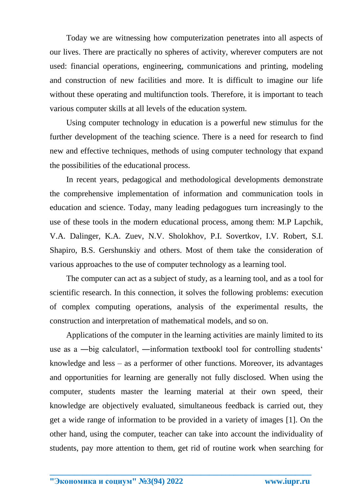Today we are witnessing how computerization penetrates into all aspects of our lives. There are practically no spheres of activity, wherever computers are not used: financial operations, engineering, communications and printing, modeling and construction of new facilities and more. It is difficult to imagine our life without these operating and multifunction tools. Therefore, it is important to teach various computer skills at all levels of the education system.

Using computer technology in education is a powerful new stimulus for the further development of the teaching science. There is a need for research to find new and effective techniques, methods of using computer technology that expand the possibilities of the educational process.

In recent years, pedagogical and methodological developments demonstrate the comprehensive implementation of information and communication tools in education and science. Today, many leading pedagogues turn increasingly to the use of these tools in the modern educational process, among them: M.P Lapchik, V.A. Dalinger, K.A. Zuev, N.V. Sholokhov, P.I. Sovertkov, I.V. Robert, S.I. Shapiro, B.S. Gershunskiy and others. Most of them take the consideration of various approaches to the use of computer technology as a learning tool.

The computer can act as a subject of study, as a learning tool, and as a tool for scientific research. In this connection, it solves the following problems: execution of complex computing operations, analysis of the experimental results, the construction and interpretation of mathematical models, and so on.

Applications of the computer in the learning activities are mainly limited to its use as a —big calculator||, —information textbook|| tool for controlling students' knowledge and less – as a performer of other functions. Moreover, its advantages and opportunities for learning are generally not fully disclosed. When using the computer, students master the learning material at their own speed, their knowledge are objectively evaluated, simultaneous feedback is carried out, they get a wide range of information to be provided in a variety of images [1]. On the other hand, using the computer, teacher can take into account the individuality of students, pay more attention to them, get rid of routine work when searching for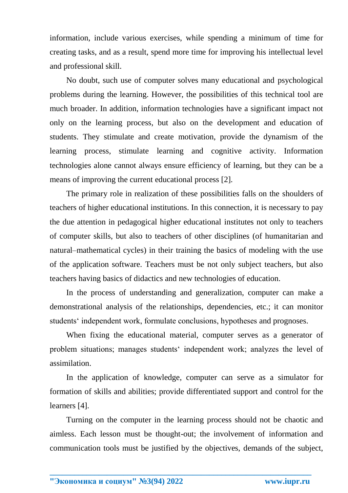information, include various exercises, while spending a minimum of time for creating tasks, and as a result, spend more time for improving his intellectual level and professional skill.

No doubt, such use of computer solves many educational and psychological problems during the learning. However, the possibilities of this technical tool are much broader. In addition, information technologies have a significant impact not only on the learning process, but also on the development and education of students. They stimulate and create motivation, provide the dynamism of the learning process, stimulate learning and cognitive activity. Information technologies alone cannot always ensure efficiency of learning, but they can be a means of improving the current educational process [2].

The primary role in realization of these possibilities falls on the shoulders of teachers of higher educational institutions. In this connection, it is necessary to pay the due attention in pedagogical higher educational institutes not only to teachers of computer skills, but also to teachers of other disciplines (of humanitarian and natural–mathematical cycles) in their training the basics of modeling with the use of the application software. Teachers must be not only subject teachers, but also teachers having basics of didactics and new technologies of education.

In the process of understanding and generalization, computer can make a demonstrational analysis of the relationships, dependencies, etc.; it can monitor students' independent work, formulate conclusions, hypotheses and prognoses.

When fixing the educational material, computer serves as a generator of problem situations; manages students' independent work; analyzes the level of assimilation.

In the application of knowledge, computer can serve as a simulator for formation of skills and abilities; provide differentiated support and control for the learners [4].

Turning on the computer in the learning process should not be chaotic and aimless. Each lesson must be thought-out; the involvement of information and communication tools must be justified by the objectives, demands of the subject,